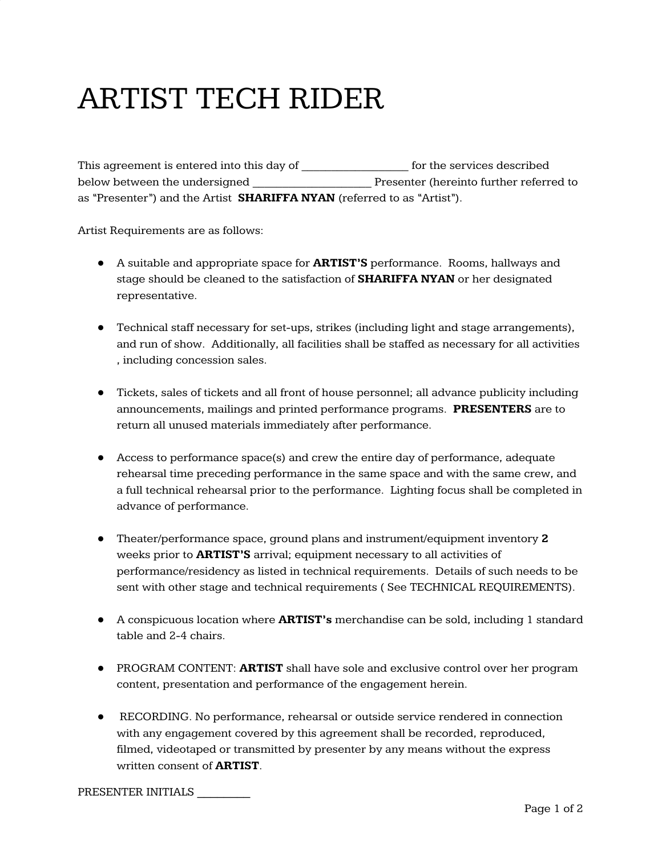## ARTIST TECH RIDER

This agreement is entered into this day of \_\_\_\_\_\_\_\_\_\_\_\_\_\_\_\_\_\_ for the services described below between the undersigned \_\_\_\_\_\_\_\_\_\_\_\_\_\_\_\_\_\_\_\_ Presenter (hereinto further referred to as "Presenter") and the Artist **SHARIFFA NYAN** (referred to as "Artist").

Artist Requirements are as follows:

- A suitable and appropriate space for **ARTIST'S** performance. Rooms, hallways and stage should be cleaned to the satisfaction of **SHARIFFA NYAN** or her designated representative.
- Technical staff necessary for set-ups, strikes (including light and stage arrangements), and run of show. Additionally, all facilities shall be staffed as necessary for all activities , including concession sales.
- Tickets, sales of tickets and all front of house personnel; all advance publicity including announcements, mailings and printed performance programs. **PRESENTERS** are to return all unused materials immediately after performance.
- Access to performance space(s) and crew the entire day of performance, adequate rehearsal time preceding performance in the same space and with the same crew, and a full technical rehearsal prior to the performance. Lighting focus shall be completed in advance of performance.
- Theater/performance space, ground plans and instrument/equipment inventory **2** weeks prior to **ARTIST'S** arrival; equipment necessary to all activities of performance/residency as listed in technical requirements. Details of such needs to be sent with other stage and technical requirements ( See TECHNICAL REQUIREMENTS).
- A conspicuous location where **ARTIST's** merchandise can be sold, including 1 standard table and 2-4 chairs.
- PROGRAM CONTENT: **ARTIST** shall have sole and exclusive control over her program content, presentation and performance of the engagement herein.
- RECORDING. No performance, rehearsal or outside service rendered in connection with any engagement covered by this agreement shall be recorded, reproduced, filmed, videotaped or transmitted by presenter by any means without the express written consent of **ARTIST**.

PRESENTER INITIALS \_\_\_\_\_\_\_\_